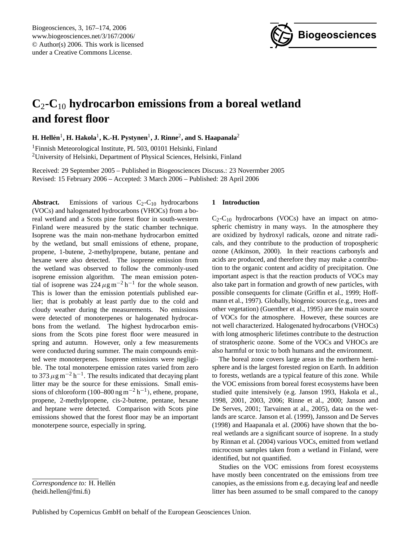

# **C**2**-C**<sup>10</sup> **hydrocarbon emissions from a boreal wetland and forest floor**

 $\mathbf{H}\text{.}$  **Hellén** $^1\text{, }\mathbf{H}\text{.}$  **Hakola** $^1\text{, }\mathbf{K}\text{.}$  $\mathbf{H}\text{.}$  **Pystynen** $^1\text{, }\mathbf{J}\text{.}$  **Rinne** $^2\text{,}$  **and S. Haapanala** $^2$ 

<sup>1</sup>Finnish Meteorological Institute, PL 503, 00101 Helsinki, Finland <sup>2</sup>University of Helsinki, Department of Physical Sciences, Helsinki, Finland

Received: 29 September 2005 – Published in Biogeosciences Discuss.: 23 Novermber 2005 Revised: 15 February 2006 – Accepted: 3 March 2006 – Published: 28 April 2006

**Abstract.** Emissions of various  $C_2$ - $C_{10}$  hydrocarbons (VOCs) and halogenated hydrocarbons (VHOCs) from a boreal wetland and a Scots pine forest floor in south-western Finland were measured by the static chamber technique. Isoprene was the main non-methane hydrocarbon emitted by the wetland, but small emissions of ethene, propane, propene, 1-butene, 2-methylpropene, butane, pentane and hexane were also detected. The isoprene emission from the wetland was observed to follow the commonly-used isoprene emission algorithm. The mean emission potential of isoprene was 224  $\mu$ g m<sup>-2</sup> h<sup>-1</sup> for the whole season. This is lower than the emission potentials published earlier; that is probably at least partly due to the cold and cloudy weather during the measurements. No emissions were detected of monoterpenes or halogenated hydrocarbons from the wetland. The highest hydrocarbon emissions from the Scots pine forest floor were measured in spring and autumn. However, only a few measurements were conducted during summer. The main compounds emitted were monoterpenes. Isoprene emissions were negligible. The total monoterpene emission rates varied from zero to 373  $\mu$ g m<sup>-2</sup> h<sup>-1</sup>. The results indicated that decaying plant litter may be the source for these emissions. Small emissions of chloroform (100–800 ng m<sup>-2</sup> h<sup>-1</sup>), ethene, propane, propene, 2-methylpropene, cis-2-butene, pentane, hexane and heptane were detected. Comparison with Scots pine emissions showed that the forest floor may be an important monoterpene source, especially in spring.

# **1 Introduction**

 $C_2-C_{10}$  hydrocarbons (VOCs) have an impact on atmospheric chemistry in many ways. In the atmosphere they are oxidized by hydroxyl radicals, ozone and nitrate radicals, and they contribute to the production of tropospheric ozone (Atkinson, 2000). In their reactions carbonyls and acids are produced, and therefore they may make a contribution to the organic content and acidity of precipitation. One important aspect is that the reaction products of VOCs may also take part in formation and growth of new particles, with possible consequents for climate (Griffin et al., 1999; Hoffmann et al., 1997). Globally, biogenic sources (e.g., trees and other vegetation) (Guenther et al., 1995) are the main source of VOCs for the atmosphere. However, these sources are not well characterized. Halogenated hydrocarbons (VHOCs) with long atmospheric lifetimes contribute to the destruction of stratospheric ozone. Some of the VOCs and VHOCs are also harmful or toxic to both humans and the environment.

The boreal zone covers large areas in the northern hemisphere and is the largest forested region on Earth. In addition to forests, wetlands are a typical feature of this zone. While the VOC emissions from boreal forest ecosystems have been studied quite intensively (e.g. Janson 1993, Hakola et al., 1998, 2001, 2003, 2006; Rinne et al., 2000; Janson and De Serves, 2001; Tarvainen at al., 2005), data on the wetlands are scarce. Janson et al. (1999), Jansson and De Serves (1998) and Haapanala et al. (2006) have shown that the boreal wetlands are a significant source of isoprene. In a study by Rinnan et al. (2004) various VOCs, emitted from wetland microcosm samples taken from a wetland in Finland, were identified, but not quantified.

Studies on the VOC emissions from forest ecosystems have mostly been concentrated on the emissions from tree canopies, as the emissions from e.g. decaying leaf and needle litter has been assumed to be small compared to the canopy

<span id="page-0-0"></span>*Correspondence to:* H. Hellén (heidi.hellen@fmi.fi)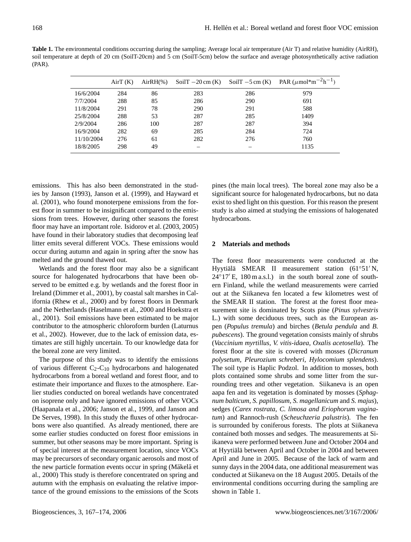**Table 1.** The environmental conditions occurring during the sampling; Average local air temperature (Air T) and relative humidity (AirRH), soil temperature at depth of 20 cm (SoilT-20cm) and 5 cm (SoilT-5cm) below the surface and average photosynthetically active radiation (PAR).

|            | AirT(K) | $AirRH(\%)$ | SoilT $-20$ cm $(K)$ | SoilT $-5$ cm $(K)$ | PAR $(\mu$ mol*m <sup>-2</sup> h <sup>-1</sup> ) |
|------------|---------|-------------|----------------------|---------------------|--------------------------------------------------|
| 16/6/2004  | 284     | 86          | 283                  | 286                 | 979                                              |
| 7/7/2004   | 288     | 85          | 286                  | 290                 | 691                                              |
| 11/8/2004  | 291     | 78          | 290                  | 291                 | 588                                              |
| 25/8/2004  | 288     | 53          | 287                  | 285                 | 1409                                             |
| 2/9/2004   | 286     | 100         | 287                  | 287                 | 394                                              |
| 16/9/2004  | 282     | 69          | 285                  | 284                 | 724                                              |
| 11/10/2004 | 276     | 61          | 282                  | 276                 | 760                                              |
| 18/8/2005  | 298     | 49          |                      |                     | 1135                                             |

emissions. This has also been demonstrated in the studies by Janson (1993), Janson et al. (1999), and Hayward et al. (2001), who found monoterpene emissions from the forest floor in summer to be insignificant compared to the emissions from trees. However, during other seasons the forest floor may have an important role. Isidorov et al. (2003, 2005) have found in their laboratory studies that decomposing leaf litter emits several different VOCs. These emissions would occur during autumn and again in spring after the snow has melted and the ground thawed out.

Wetlands and the forest floor may also be a significant source for halogenated hydrocarbons that have been observed to be emitted e.g. by wetlands and the forest floor in Ireland (Dimmer et al., 2001), by coastal salt marshes in California (Rhew et al., 2000) and by forest floors in Denmark and the Netherlands (Haselmann et al., 2000 and Hoekstra et al., 2001). Soil emissions have been estimated to be major contributor to the atmospheric chloroform burden (Laturnus et al., 2002). However, due to the lack of emission data, estimates are still highly uncertain. To our knowledge data for the boreal zone are very limited.

The purpose of this study was to identify the emissions of various different  $C_2$ - $C_{10}$  hydrocarbons and halogenated hydrocarbons from a boreal wetland and forest floor, and to estimate their importance and fluxes to the atmosphere. Earlier studies conducted on boreal wetlands have concentrated on isoprene only and have ignored emissions of other VOCs (Haapanala et al., 2006; Janson et al., 1999, and Janson and De Serves, 1998). In this study the fluxes of other hydrocarbons were also quantified. As already mentioned, there are some earlier studies conducted on forest floor emissions in summer, but other seasons may be more important. Spring is of special interest at the measurement location, since VOCs may be precursors of secondary organic aerosols and most of the new particle formation events occur in spring (Mäkelä et al., 2000) This study is therefore concentrated on spring and autumn with the emphasis on evaluating the relative importance of the ground emissions to the emissions of the Scots pines (the main local trees). The boreal zone may also be a significant source for halogenated hydrocarbons, but no data exist to shed light on this question. For this reason the present study is also aimed at studying the emissions of halogenated hydrocarbons.

# **2 Materials and methods**

The forest floor measurements were conducted at the Hyytiälä SMEAR II measurement station (61°51'N,  $24°17'E$ , 180 m a.s.l.) in the south boreal zone of southern Finland, while the wetland measurements were carried out at the Siikaneva fen located a few kilometres west of the SMEAR II station. The forest at the forest floor measurement site is dominated by Scots pine (*Pinus sylvestris* L.) with some deciduous trees, such as the European aspen (*Populus tremula*) and birches (*Betula pendula* and *B. pubescens*). The ground vegetation consists mainly of shrubs (*Vaccinium myrtillus, V. vitis-idaea, Oxalis acetosella*). The forest floor at the site is covered with mosses (*Dicranum polysetum, Pleurozium schreberi, Hylocomium splendens*). The soil type is Haplic Podzol. In addition to mosses, both plots contained some shrubs and some litter from the surrounding trees and other vegetation. Siikaneva is an open aapa fen and its vegetation is dominated by mosses (*Sphagnum balticum, S. papillosum*, *S. magellanicum* and *S. majus*), sedges (*Carex rostrata, C. limosa and Eriophorum vaginatum*) and Rannoch-rush (*Scheuchzeria palustris*). The fen is surrounded by coniferous forests. The plots at Siikaneva contained both mosses and sedges. The measurements at Siikaneva were performed between June and October 2004 and at Hyytiälä between April and October in 2004 and between April and June in 2005. Because of the lack of warm and sunny days in the 2004 data, one additional measurement was conducted at Siikaneva on the 18 August 2005. Details of the environmental conditions occurring during the sampling are shown in Table 1.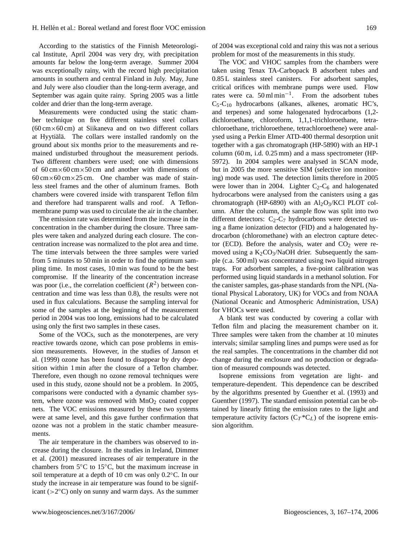According to the statistics of the Finnish Meteorological Institute, April 2004 was very dry, with precipitation amounts far below the long-term average. Summer 2004 was exceptionally rainy, with the record high precipitation amounts in southern and central Finland in July. May, June and July were also cloudier than the long-term average, and September was again quite rainy. Spring 2005 was a little colder and drier than the long-term average.

Measurements were conducted using the static chamber technique on five different stainless steel collars  $(60 \text{ cm} \times 60 \text{ cm})$  at Siikaneva and on two different collars at Hyytiälä. The collars were installed randomly on the ground about six months prior to the measurements and remained undisturbed throughout the measurement periods. Two different chambers were used; one with dimensions of  $60 \text{ cm} \times 60 \text{ cm} \times 50 \text{ cm}$  and another with dimensions of  $60 \text{ cm} \times 60 \text{ cm} \times 25 \text{ cm}$ . One chamber was made of stainless steel frames and the other of aluminum frames. Both chambers were covered inside with transparent Teflon film and therefore had transparent walls and roof. A Teflonmembrane pump was used to circulate the air in the chamber.

The emission rate was determined from the increase in the concentration in the chamber during the closure. Three samples were taken and analyzed during each closure. The concentration increase was normalized to the plot area and time. The time intervals between the three samples were varied from 5 minutes to 50 min in order to find the optimum sampling time. In most cases, 10 min was found to be the best compromise. If the linearity of the concentration increase was poor (i.e., the correlation coefficient  $(R^2)$  between concentration and time was less than 0.8), the results were not used in flux calculations. Because the sampling interval for some of the samples at the beginning of the measurement period in 2004 was too long, emissions had to be calculated using only the first two samples in these cases.

Some of the VOCs, such as the monoterpenes, are very reactive towards ozone, which can pose problems in emission measurements. However, in the studies of Janson et al. (1999) ozone has been found to disappear by dry deposition within 1 min after the closure of a Teflon chamber. Therefore, even though no ozone removal techniques were used in this study, ozone should not be a problem. In 2005, comparisons were conducted with a dynamic chamber system, where ozone was removed with  $MnO<sub>2</sub>$  coated copper nets. The VOC emissions measured by these two systems were at same level, and this gave further confirmation that ozone was not a problem in the static chamber measurements.

The air temperature in the chambers was observed to increase during the closure. In the studies in Ireland, Dimmer et al. (2001) measured increases of air temperature in the chambers from 5◦C to 15◦C, but the maximum increase in soil temperature at a depth of 10 cm was only 0.2◦C. In our study the increase in air temperature was found to be significant ( $>2^{\circ}$ C) only on sunny and warm days. As the summer

of 2004 was exceptional cold and rainy this was not a serious problem for most of the measurements in this study.

The VOC and VHOC samples from the chambers were taken using Tenax TA-Carbopack B adsorbent tubes and 0.85 L stainless steel canisters. For adsorbent samples, critical orifices with membrane pumps were used. Flow rates were ca.  $50 \text{ ml min}^{-1}$ . From the adsorbent tubes  $C_5-C_{10}$  hydrocarbons (alkanes, alkenes, aromatic HC's, and terpenes) and some halogenated hydrocarbons (1,2 dichloroethane, chloroform, 1,1,1-trichloroethane, tetrachloroethane, trichloroethene, tetrachloroethene) were analysed using a Perkin Elmer ATD-400 thermal desorption unit together with a gas chromatograph (HP-5890) with an HP-1 column (60 m, i.d. 0.25 mm) and a mass spectrometer (HP-5972). In 2004 samples were analysed in SCAN mode, but in 2005 the more sensitive SIM (selective ion monitoring) mode was used. The detection limits therefore in 2005 were lower than in 2004. Lighter  $C_2-C_6$  and halogenated hydrocarbons were analysed from the canisters using a gas chromatograph (HP-6890) with an  $Al_2O_3/KCl$  PLOT column. After the column, the sample flow was split into two different detectors:  $C_2-C_7$  hydrocarbons were detected using a flame ionization detector (FID) and a halogenated hydrocarbon (chloromethane) with an electron capture detector (ECD). Before the analysis, water and  $CO<sub>2</sub>$  were removed using a  $K_2CO_3/NaOH$  drier. Subsequently the sample (c.a. 500 ml) was concentrated using two liquid nitrogen traps. For adsorbent samples, a five-point calibration was performed using liquid standards in a methanol solution. For the canister samples, gas-phase standards from the NPL (National Physical Laboratory, UK) for VOCs and from NOAA (National Oceanic and Atmospheric Administration, USA) for VHOCs were used.

A blank test was conducted by covering a collar with Teflon film and placing the measurement chamber on it. Three samples were taken from the chamber at 10 minutes intervals; similar sampling lines and pumps were used as for the real samples. The concentrations in the chamber did not change during the enclosure and no production or degradation of measured compounds was detected.

Isoprene emissions from vegetation are light- and temperature-dependent. This dependence can be described by the algorithms presented by Guenther et al. (1993) and Guenther (1997). The standard emission potential can be obtained by linearly fitting the emission rates to the light and temperature activity factors  $(C_T C_L)$  of the isoprene emission algorithm.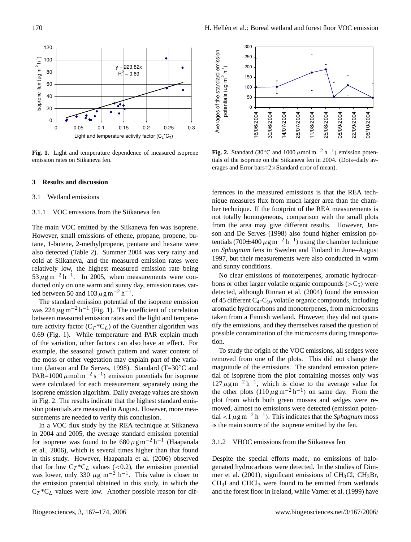

**Fig. 1.** Light and temperature dependence of measured isoprene emission rates on Siikaneva fen.

#### **3 Results and discussion**

# 3.1 Wetland emissions

# 3.1.1 VOC emissions from the Siikaneva fen

The main VOC emitted by the Siikaneva fen was isoprene. However, small emissions of ethene, propane, propene, butane, 1-butene, 2-methylpropene, pentane and hexane were also detected (Table 2). Summer 2004 was very rainy and cold at Siikaneva, and the measured emission rates were relatively low, the highest measured emission rate being  $53 \mu g m^{-2} h^{-1}$ . In 2005, when measurements were conducted only on one warm and sunny day, emission rates varied between 50 and 103  $\mu$ g m<sup>-2</sup> h<sup>-1</sup>.

The standard emission potential of the isoprene emission was 224  $\mu$ g m<sup>-2</sup> h<sup>-1</sup> (Fig. 1). The coefficient of correlation between measured emission rates and the light and temperature activity factor  $(C_T^*C_L)$  of the Guenther algorithm was 0.69 (Fig. 1). While temperature and PAR explain much of the variation, other factors can also have an effect. For example, the seasonal growth pattern and water content of the moss or other vegetation may explain part of the variation (Janson and De Serves, 1998). Standard (T=30◦C and PAR=1000  $\mu$ mol m<sup>-2</sup> s<sup>-1</sup>) emission potentials for isoprene were calculated for each measurement separately using the isoprene emission algorithm. Daily average values are shown in Fig. 2. The results indicate that the highest standard emission potentials are measured in August. However, more measurements are needed to verify this conclusion.

In a VOC flux study by the REA technique at Siikaneva in 2004 and 2005, the average standard emission potential for isoprene was found to be  $680 \,\mu g\,\text{m}^{-2}\,\text{h}^{-1}$  (Haapanala et al., 2006), which is several times higher than that found in this study. However, Haapanala et al. (2006) observed that for low  $C_T C^*C_L$  values (<0.2), the emission potential was lower, only 330  $\mu$ g m<sup>-2</sup> h<sup>-1</sup>. This value is closer to the emission potential obtained in this study, in which the  $C_T$ <sup>\*</sup>C<sub>L</sub> values were low. Another possible reason for dif-



**Fig. 2.** Standard (30 $^{\circ}$ C and 1000  $\mu$ mol m<sup>-2</sup> h<sup>-1</sup>) emission potentials of the isoprene on the Siikaneva fen in 2004. (Dots=daily averages and Error bars=2×Standard error of mean).

ferences in the measured emissions is that the REA technique measures flux from much larger area than the chamber technique. If the footprint of the REA measurements is not totally homogeneous, comparison with the small plots from the area may give different results. However, Janson and De Serves (1998) also found higher emission potentials (700 $\pm$ 400  $\mu$ g m<sup>-2</sup> h<sup>-1</sup>) using the chamber technique on *Sphagnum* fens in Sweden and Finland in June–August 1997, but their measurements were also conducted in warm and sunny conditions.

No clear emissions of monoterpenes, aromatic hydrocarbons or other larger volatile organic compounds ( $>C_5$ ) were detected, although Rinnan et al. (2004) found the emission of 45 different  $C_4$ - $C_{10}$  volatile organic compounds, including aromatic hydrocarbons and monoterpenes, from microcosms taken from a Finnish wetland. However, they did not quantify the emissions, and they themselves raised the question of possible contamination of the microcosms during transportation.

To study the origin of the VOC emissions, all sedges were removed from one of the plots. This did not change the magnitude of the emissions. The standard emission potential of isoprene from the plot containing mosses only was  $127 \,\mu g \,\text{m}^{-2} \,\text{h}^{-1}$ , which is close to the average value for the other plots  $(110 \,\mu g\,\text{m}^{-2}\,\text{h}^{-1})$  on same day. From the plot from which both green mosses and sedges were removed, almost no emissions were detected (emission potential <1  $\mu$ g m<sup>-2</sup> h<sup>-1</sup>). This indicates that the *Sphagnum* moss is the main source of the isoprene emitted by the fen.

#### 3.1.2 VHOC emissions from the Siikaneva fen

Despite the special efforts made, no emissions of halogenated hydrocarbons were detected. In the studies of Dimmer et al. (2001), significant emissions of CH3Cl, CH3Br,  $CH<sub>3</sub>I$  and  $CHCl<sub>3</sub>$  were found to be emitted from wetlands and the forest floor in Ireland, while Varner et al. (1999) have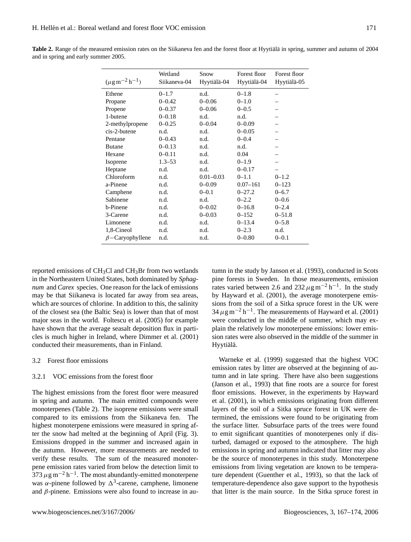| $(\mu g m^{-2} h^{-1})$ | Wetland<br>Siikaneva-04 | Snow<br>Hyytiälä-04 | Forest floor<br>Hyytiälä-04 | Forest floor<br>Hyytiälä-05 |
|-------------------------|-------------------------|---------------------|-----------------------------|-----------------------------|
| Ethene                  | $0 - 1.7$               | n.d.                | $0 - 1.8$                   |                             |
| Propane                 | $0 - 0.42$              | $0 - 0.06$          | $0 - 1.0$                   |                             |
| Propene                 | $0 - 0.37$              | $0 - 0.06$          | $0 - 0.5$                   |                             |
| 1-butene                | $0 - 0.18$              | n.d.                | n.d.                        |                             |
| 2-methylpropene         | $0 - 0.25$              | $0 - 0.04$          | $0 - 0.09$                  |                             |
| cis-2-butene            | n.d.                    | n.d.                | $0 - 0.05$                  |                             |
| Pentane                 | $0 - 0.43$              | n.d.                | $0 - 0.4$                   |                             |
| <b>Butane</b>           | $0 - 0.13$              | n.d.                | n.d.                        |                             |
| Hexane                  | $0 - 0.11$              | n.d.                | 0.04                        |                             |
| Isoprene                | $1.3 - 53$              | n.d.                | $0 - 1.9$                   |                             |
| Heptane                 | n.d.                    | n.d.                | $0 - 0.17$                  |                             |
| Chloroform              | n.d.                    | $0.01 - 0.03$       | $0 - 1.1$                   | $0 - 1.2$                   |
| a-Pinene                | n.d.                    | $0 - 0.09$          | $0.07 - 161$                | $0 - 123$                   |
| Camphene                | n.d.                    | $0 - 0.1$           | $0 - 27.2$                  | $0 - 6.7$                   |
| Sabinene                | n.d.                    | n.d.                | $0 - 2.2$                   | $0 - 0.6$                   |
| b-Pinene                | n.d.                    | $0 - 0.02$          | $0 - 16.8$                  | $0 - 2.4$                   |
| 3-Carene                | n.d.                    | $0 - 0.03$          | $0 - 152$                   | $0 - 51.8$                  |
| Limonene                | n.d.                    | n.d.                | $0 - 13.4$                  | $0 - 5.8$                   |
| 1,8-Cineol              | n.d.                    | n.d.                | $0 - 2.3$                   | n.d.                        |
| $\beta$ -Caryophyllene  | n.d.                    | n.d.                | $0 - 0.80$                  | $0 - 0.1$                   |

Table 2. Range of the measured emission rates on the Siikaneva fen and the forest floor at Hyytiälä in spring, summer and autumn of 2004 and in spring and early summer 2005.

reported emissions of  $CH<sub>3</sub>Cl$  and  $CH<sub>3</sub>Br$  from two wetlands in the Northeastern United States, both dominated by *Sphagnum* and *Carex* species. One reason for the lack of emissions may be that Siikaneva is located far away from sea areas, which are sources of chlorine. In addition to this, the salinity of the closest sea (the Baltic Sea) is lower than that of most major seas in the world. Foltescu et al. (2005) for example have shown that the average seasalt deposition flux in particles is much higher in Ireland, where Dimmer et al. (2001) conducted their measurements, than in Finland.

# 3.2 Forest floor emissions

# 3.2.1 VOC emissions from the forest floor

The highest emissions from the forest floor were measured in spring and autumn. The main emitted compounds were monoterpenes (Table 2). The isoprene emissions were small compared to its emissions from the Siikaneva fen. The highest monoterpene emissions were measured in spring after the snow had melted at the beginning of April (Fig. 3). Emissions dropped in the summer and increased again in the autumn. However, more measurements are needed to verify these results. The sum of the measured monoterpene emission rates varied from below the detection limit to  $373 \,\mu g$  m<sup>-2</sup> h<sup>-1</sup>. The most abundantly-emitted monoterpene was  $\alpha$ -pinene followed by  $\Delta$ <sup>3</sup>-carene, camphene, limonene and  $\beta$ -pinene. Emissions were also found to increase in autumn in the study by Janson et al. (1993), conducted in Scots pine forests in Sweden. In those measurements, emission rates varied between 2.6 and 232  $\mu$ g m<sup>-2</sup> h<sup>-1</sup>. In the study by Hayward et al. (2001), the average monoterpene emissions from the soil of a Sitka spruce forest in the UK were  $34 \,\mu$ g m<sup>-2</sup> h<sup>-1</sup>. The measurements of Hayward et al. (2001) were conducted in the middle of summer, which may explain the relatively low monoterpene emissions: lower emission rates were also observed in the middle of the summer in Hyytiälä.

Warneke et al. (1999) suggested that the highest VOC emission rates by litter are observed at the beginning of autumn and in late spring. There have also been suggestions (Janson et al., 1993) that fine roots are a source for forest floor emissions. However, in the experiments by Hayward et al. (2001), in which emissions originating from different layers of the soil of a Sitka spruce forest in UK were determined, the emissions were found to be originating from the surface litter. Subsurface parts of the trees were found to emit significant quantities of monoterpenes only if disturbed, damaged or exposed to the atmosphere. The high emissions in spring and autumn indicated that litter may also be the source of monoterpenes in this study. Monoterpene emissions from living vegetation are known to be temperature dependent (Guenther et al., 1993), so that the lack of temperature-dependence also gave support to the hypothesis that litter is the main source. In the Sitka spruce forest in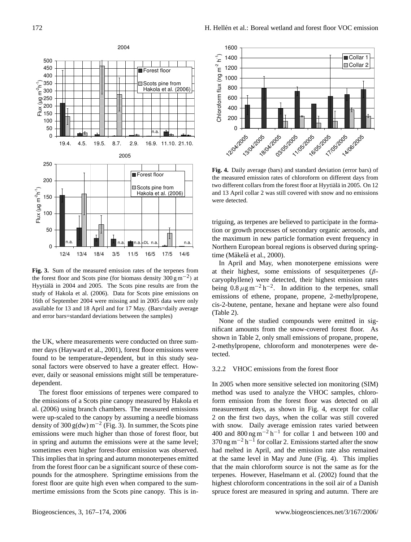

**Fig. 3.** Sum of the measured emission rates of the terpenes from the forest floor and Scots pine (for biomass density  $300 \text{ g m}^{-2}$ ) at Hyytialä in 2004 and 2005. The Scots pine results are from the study of Hakola et al. (2006). Data for Scots pine emissions on 16th of September 2004 were missing and in 2005 data were only available for 13 and 18 April and for 17 May. (Bars=daily average and error bars=standard deviations between the samples)

the UK, where measurements were conducted on three summer days (Hayward et al., 2001), forest floor emissions were found to be temperature-dependent, but in this study seasonal factors were observed to have a greater effect. However, daily or seasonal emissions might still be temperaturedependent.

The forest floor emissions of terpenes were compared to the emissions of a Scots pine canopy measured by Hakola et al. (2006) using branch chambers. The measured emissions were up-scaled to the canopy by assuming a needle biomass density of 300 g(dw) m<sup>-2</sup> (Fig. 3). In summer, the Scots pine emissions were much higher than those of forest floor, but in spring and autumn the emissions were at the same level; sometimes even higher forest-floor emission was observed. This implies that in spring and autumn monoterpenes emitted from the forest floor can be a significant source of these compounds for the atmosphere. Springtime emissions from the forest floor are quite high even when compared to the summertime emissions from the Scots pine canopy. This is in-



**Fig. 4.** Daily average (bars) and standard deviation (error bars) of the measured emission rates of chloroform on different days from two different collars from the forest floor at Hyytialä in 2005. On 12 and 13 April collar 2 was still covered with snow and no emissions were detected.

triguing, as terpenes are believed to participate in the formation or growth processes of secondary organic aerosols, and the maximum in new particle formation event frequency in Northern European boreal regions is observed during springtime (Mäkelä et al., 2000).

In April and May, when monoterpene emissions were at their highest, some emissions of sesquiterpenes  $(\beta$ caryophyllene) were detected, their highest emission rates being  $0.8 \,\mu g \,\text{m}^{-2} \,\text{h}^{-2}$ . In addition to the terpenes, small emissions of ethene, propane, propene, 2-methylpropene, cis-2-butene, pentane, hexane and heptane were also found (Table 2).

None of the studied compounds were emitted in significant amounts from the snow-covered forest floor. As shown in Table 2, only small emissions of propane, propene, 2-methylpropene, chloroform and monoterpenes were detected.

# 3.2.2 VHOC emissions from the forest floor

In 2005 when more sensitive selected ion monitoring (SIM) method was used to analyze the VHOC samples, chloroform emission from the forest floor was detected on all measurement days, as shown in Fig. 4, except for collar 2 on the first two days, when the collar was still covered with snow. Daily average emission rates varied between 400 and 800 ng m<sup>-2</sup> h<sup>-1</sup> for collar 1 and between 100 and  $370$  ng m<sup>-2</sup> h<sup>-1</sup> for collar 2. Emissions started after the snow had melted in April, and the emission rate also remained at the same level in May and June (Fig. 4). This implies that the main chloroform source is not the same as for the terpenes. However, Haselmann et al. (2002) found that the highest chloroform concentrations in the soil air of a Danish spruce forest are measured in spring and autumn. There are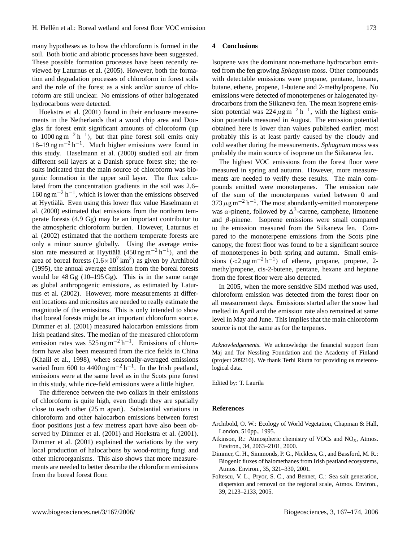many hypotheses as to how the chloroform is formed in the soil. Both biotic and abiotic processes have been suggested. These possible formation processes have been recently reviewed by Laturnus et al. (2005). However, both the formation and degradation processes of chloroform in forest soils and the role of the forest as a sink and/or source of chloroform are still unclear. No emissions of other halogenated hydrocarbons were detected.

Hoekstra et al. (2001) found in their enclosure measurements in the Netherlands that a wood chip area and Douglas fir forest emit significant amounts of chloroform (up to 1000 ng m<sup>-2</sup> h<sup>-1</sup>), but that pine forest soil emits only 18–19 ng m−<sup>2</sup> h −1 . Much higher emissions were found in this study. Haselmann et al. (2000) studied soil air from different soil layers at a Danish spruce forest site; the results indicated that the main source of chloroform was biogenic formation in the upper soil layer. The flux calculated from the concentration gradients in the soil was 2.6– 160 ng m−<sup>2</sup> h −1 , which is lower than the emissions observed at Hyytiälä. Even using this lower flux value Haselmann et al. (2000) estimated that emissions from the northern temperate forests (4.9 Gg) may be an important contributor to the atmospheric chloroform burden. However, Laturnus et al. (2002) estimated that the northern temperate forests are only a minor source globally. Using the average emission rate measured at Hyytialä  $(450 \text{ ng m}^{-2} \text{ h}^{-1})$ , and the area of boreal forests  $(1.6 \times 10^7 \text{ km}^2)$  as given by Archibold (1995), the annual average emission from the boreal forests would be  $48 \text{ Gg}$  (10–195 Gg). This is in the same range as global anthropogenic emissions, as estimated by Laturnus et al. (2002). However, more measurements at different locations and microsites are needed to really estimate the magnitude of the emissions. This is only intended to show that boreal forests might be an important chloroform source. Dimmer et al. (2001) measured halocarbon emissions from Irish peatland sites. The median of the measured chloroform emission rates was  $525$  ng m<sup>-2</sup> h<sup>-1</sup>. Emissions of chloroform have also been measured from the rice fields in China (Khalil et al., 1998), where seasonally-averaged emissions varied from 600 to  $4400 \text{ ng m}^{-2} \text{ h}^{-1}$ . In the Irish peatland, emissions were at the same level as in the Scots pine forest in this study, while rice-field emissions were a little higher.

The difference between the two collars in their emissions of chloroform is quite high, even though they are spatially close to each other (25 m apart). Substantial variations in chloroform and other halocarbon emissions between forest floor positions just a few metress apart have also been observed by Dimmer et al. (2001) and Hoekstra et al. (2001). Dimmer et al. (2001) explained the variations by the very local production of halocarbons by wood-rotting fungi and other microorganisms. This also shows that more measurements are needed to better describe the chloroform emissions from the boreal forest floor.

# **4 Conclusions**

Isoprene was the dominant non-methane hydrocarbon emitted from the fen growing *Sphagnum* moss. Other compounds with detectable emissions were propane, pentane, hexane, butane, ethene, propene, 1-butene and 2-methylpropene. No emissions were detected of monoterpenes or halogenated hydrocarbons from the Siikaneva fen. The mean isoprene emission potential was  $224 \mu g m^{-2} h^{-1}$ , with the highest emission potentials measured in August. The emission potential obtained here is lower than values published earlier; most probably this is at least partly caused by the cloudy and cold weather during the measurements. *Sphagnum* moss was probably the main source of isoprene on the Siikaneva fen.

The highest VOC emissions from the forest floor were measured in spring and autumn. However, more measurements are needed to verify these results. The main compounds emitted were monoterpenes. The emission rate of the sum of the monoterpenes varied between 0 and 373  $\mu$ g m<sup>-2</sup> h<sup>-1</sup>. The most abundantly-emitted monoterpene was  $\alpha$ -pinene, followed by  $\Delta^3$ -carene, camphene, limonene and  $\beta$ -pinene. Isoprene emissions were small compared to the emission measured from the Siikaneva fen. Compared to the monoterpene emissions from the Scots pine canopy, the forest floor was found to be a significant source of monoterpenes in both spring and autumn. Small emissions  $\left(\frac{2\mu g m^{-2} h^{-1}}{g}\right)$  of ethene, propane, propene, 2methylpropene, cis-2-butene, pentane, hexane and heptane from the forest floor were also detected.

In 2005, when the more sensitive SIM method was used, chloroform emission was detected from the forest floor on all measurement days. Emissions started after the snow had melted in April and the emission rate also remained at same level in May and June. This implies that the main chloroform source is not the same as for the terpenes.

*Acknowledgements.* We acknowledge the financial support from Maj and Tor Nessling Foundation and the Academy of Finland (project 209216). We thank Terhi Riutta for providing us meteorological data.

Edited by: T. Laurila

# **References**

- Archibold, O. W.: Ecology of World Vegetation, Chapman & Hall, London, 510pp., 1995.
- Atkinson, R.: Atmospheric chemistry of VOCs and  $NO<sub>x</sub>$ , Atmos. Environ., 34, 2063–2101, 2000.
- Dimmer, C. H., Simmonds, P. G., Nickless, G., and Bassford, M. R.: Biogenic fluxes of halomethanes from Irish peatland ecosystems, Atmos. Environ., 35, 321–330, 2001.
- Foltescu, V. L., Pryor, S. C., and Bennet, C.: Sea salt generation, dispersion and removal on the regional scale, Atmos. Environ., 39, 2123–2133, 2005.